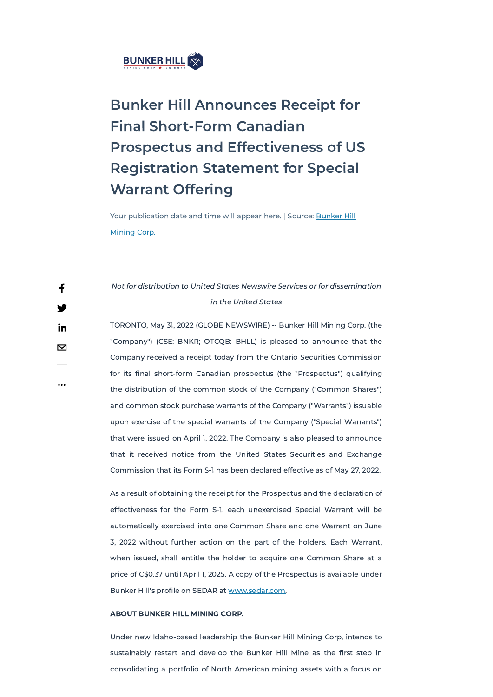

## Bunker Hill Announces Receipt for Final Short-Form Canadian Prospectus and Effectiveness of US Registration Statement for Special Warrant Offering

Your [publication](javascript:void(0)) date and time will appear here. | Source: **Bunker Hill** Mining Corp.

## Not for distribution to United States Newswire Services or for dissemination in the United States

TORONTO, May 31, 2022 (GLOBE NEWSWIRE) -- Bunker Hill Mining Corp. (the "Company") (CSE: BNKR; OTCQB: BHLL) is pleased to announce that the Company received a receipt today from the Ontario Securities Commission for its final short-form Canadian prospectus (the "Prospectus") qualifying the distribution of the common stock of the Company ("Common Shares") and common stock purchase warrants of the Company ("Warrants") issuable upon exercise of the special warrants of the Company ("Special Warrants") that were issued on April 1, 2022. The Company is also pleased to announce that it received notice from the United States Securities and Exchange Commission that its Form S-1 has been declared effective as of May 27, 2022.

As a result of obtaining the receipt for the Prospectus and the declaration of effectiveness for the Form S-1, each unexercised Special Warrant will be

automatically exercised into one Common Share and one Warrant on June

3, 2022 without further action on the part of the holders. Each Warrant,

when issued, shall entitle the holder to acquire one Common Share at a

price of C\$0.37 until April 1, 2025. A copy of the Prospectus is available under

Bunker Hill's profile on SEDAR at [www.sedar.com](http://www.sedar.com/).

## ABOUT BUNKER HILL MINING CORP.

Under new Idaho-based leadership the Bunker Hill Mining Corp, intends to

sustainably restart and develop the Bunker Hill Mine as the first step in

consolidating a portfolio of North American mining assets with a focus on

...

f

V

in

 $\mathbf{\Sigma}$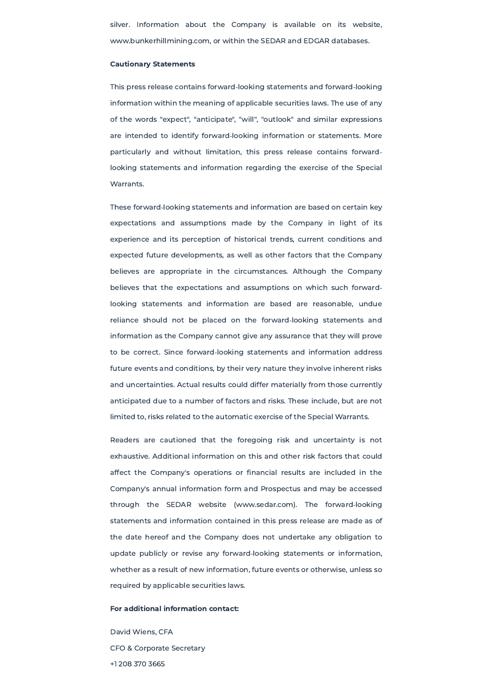silver. Information about the Company is available on its website, www.bunkerhillmining.com, or within the SEDAR and EDGAR databases.

## Cautionary Statements

This press release contains forward‐looking statements and forward‐looking information within the meaning of applicable securities laws. The use of any of the words "expect", "anticipate", "will", "outlook" and similar expressions are intended to identify forward‐looking information or statements. More particularly and without limitation, this press release contains forward‐ looking statements and information regarding the exercise of the Special Warrants.

These forward‐looking statements and information are based on certain key expectations and assumptions made by the Company in light of its experience and its perception of historical trends, current conditions and expected future developments, as well as other factors that the Company believes are appropriate in the circumstances. Although the Company believes that the expectations and assumptions on which such forward‐ looking statements and information are based are reasonable, undue reliance should not be placed on the forward‐looking statements and information as the Company cannot give any assurance that they will prove to be correct. Since forward‐looking statements and information address future events and conditions, by their very nature they involve inherent risks and uncertainties. Actual results could differ materially from those currently anticipated due to a number of factors and risks. These include, but are not limited to, risks related to the automatic exercise of the Special Warrants.

Readers are cautioned that the foregoing risk and uncertainty is not exhaustive. Additional information on this and other risk factors that could affect the Company's operations or financial results are included in the Company's annual information form and Prospectus and may be accessed through the SEDAR website (www.sedar.com). The forward‐looking statements and information contained in this press release are made as of

the date hereof and the Company does not undertake any obligation to

update publicly or revise any forward‐looking statements or information,

whether as a result of new information, future events or otherwise, unless so

required by applicable securities laws.

For additional information contact:

David Wiens, CFA

CFO & Corporate Secretary

+1 208 370 3665